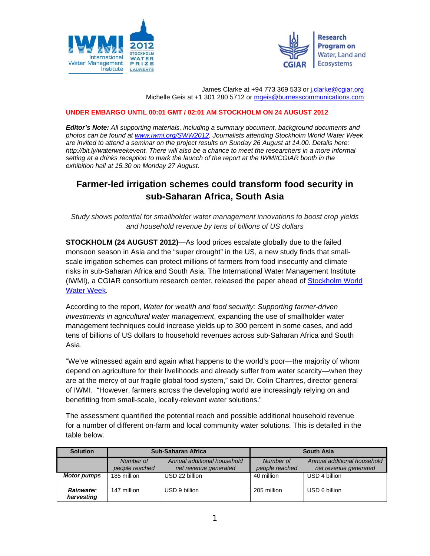



James Clarke at +94 773 369 533 or j.clarke@cgiar.org Michelle Geis at +1 301 280 5712 or mgeis@burnesscommunications.com

## **UNDER EMBARGO UNTIL 00:01 GMT / 02:01 AM STOCKHOLM ON 24 AUGUST 2012**

*Editor's Note: All supporting materials, including a summary document, background documents and photos can be found at www.iwmi.org/SWW2012. Journalists attending Stockholm World Water Week are invited to attend a seminar on the project results on Sunday 26 August at 14.00. Details here: http://bit.ly/waterweekevent. There will also be a chance to meet the researchers in a more informal setting at a drinks reception to mark the launch of the report at the IWMI/CGIAR booth in the exhibition hall at 15.30 on Monday 27 August.* 

## **Farmer-led irrigation schemes could transform food security in sub-Saharan Africa, South Asia**

*Study shows potential for smallholder water management innovations to boost crop yields and household revenue by tens of billions of US dollars* 

**STOCKHOLM (24 AUGUST 2012)**—As food prices escalate globally due to the failed monsoon season in Asia and the "super drought" in the US, a new study finds that smallscale irrigation schemes can protect millions of farmers from food insecurity and climate risks in sub-Saharan Africa and South Asia. The International Water Management Institute (IWMI), a CGIAR consortium research center, released the paper ahead of Stockholm World Water Week.

According to the report, *Water for wealth and food security: Supporting farmer-driven investments in agricultural water management*, expanding the use of smallholder water management techniques could increase yields up to 300 percent in some cases, and add tens of billions of US dollars to household revenues across sub-Saharan Africa and South Asia.

"We've witnessed again and again what happens to the world's poor—the majority of whom depend on agriculture for their livelihoods and already suffer from water scarcity—when they are at the mercy of our fragile global food system," said Dr. Colin Chartres, director general of IWMI. "However, farmers across the developing world are increasingly relying on and benefitting from small-scale, locally-relevant water solutions."

The assessment quantified the potential reach and possible additional household revenue for a number of different on-farm and local community water solutions. This is detailed in the table below.

| <b>Solution</b>                | <b>Sub-Saharan Africa</b>   |                                                      | <b>South Asia</b>           |                                                      |
|--------------------------------|-----------------------------|------------------------------------------------------|-----------------------------|------------------------------------------------------|
|                                | Number of<br>people reached | Annual additional household<br>net revenue generated | Number of<br>people reached | Annual additional household<br>net revenue generated |
| <b>Motor pumps</b>             | 185 million                 | USD 22 billion                                       | 40 million                  | USD 4 billion                                        |
| <b>Rainwater</b><br>harvesting | 147 million                 | USD 9 billion                                        | 205 million                 | USD 6 billion                                        |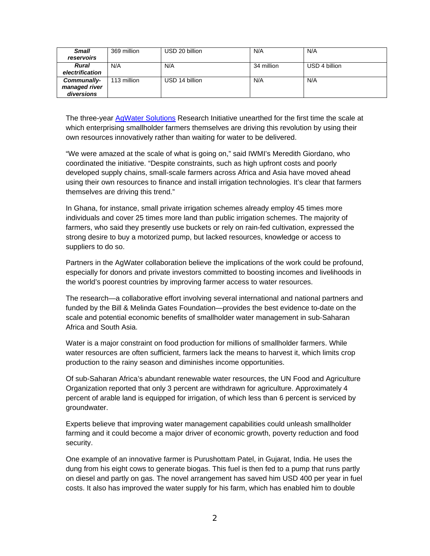| <b>Small</b>    | 369 million | USD 20 billion | N/A        | N/A           |
|-----------------|-------------|----------------|------------|---------------|
| reservoirs      |             |                |            |               |
| <b>Rural</b>    | N/A         | N/A            | 34 million | USD 4 billion |
| electrification |             |                |            |               |
| Communally-     | 113 million | USD 14 billion | N/A        | N/A           |
| managed river   |             |                |            |               |
| diversions      |             |                |            |               |

The three-year AgWater Solutions Research Initiative unearthed for the first time the scale at which enterprising smallholder farmers themselves are driving this revolution by using their own resources innovatively rather than waiting for water to be delivered.

"We were amazed at the scale of what is going on," said IWMI's Meredith Giordano, who coordinated the initiative. "Despite constraints, such as high upfront costs and poorly developed supply chains, small-scale farmers across Africa and Asia have moved ahead using their own resources to finance and install irrigation technologies. It's clear that farmers themselves are driving this trend."

In Ghana, for instance, small private irrigation schemes already employ 45 times more individuals and cover 25 times more land than public irrigation schemes. The majority of farmers, who said they presently use buckets or rely on rain-fed cultivation, expressed the strong desire to buy a motorized pump, but lacked resources, knowledge or access to suppliers to do so.

Partners in the AgWater collaboration believe the implications of the work could be profound, especially for donors and private investors committed to boosting incomes and livelihoods in the world's poorest countries by improving farmer access to water resources.

The research—a collaborative effort involving several international and national partners and funded by the Bill & Melinda Gates Foundation—provides the best evidence to-date on the scale and potential economic benefits of smallholder water management in sub-Saharan Africa and South Asia.

Water is a major constraint on food production for millions of smallholder farmers. While water resources are often sufficient, farmers lack the means to harvest it, which limits crop production to the rainy season and diminishes income opportunities.

Of sub-Saharan Africa's abundant renewable water resources, the UN Food and Agriculture Organization reported that only 3 percent are withdrawn for agriculture. Approximately 4 percent of arable land is equipped for irrigation, of which less than 6 percent is serviced by groundwater.

Experts believe that improving water management capabilities could unleash smallholder farming and it could become a major driver of economic growth, poverty reduction and food security.

One example of an innovative farmer is Purushottam Patel, in Gujarat, India. He uses the dung from his eight cows to generate biogas. This fuel is then fed to a pump that runs partly on diesel and partly on gas. The novel arrangement has saved him USD 400 per year in fuel costs. It also has improved the water supply for his farm, which has enabled him to double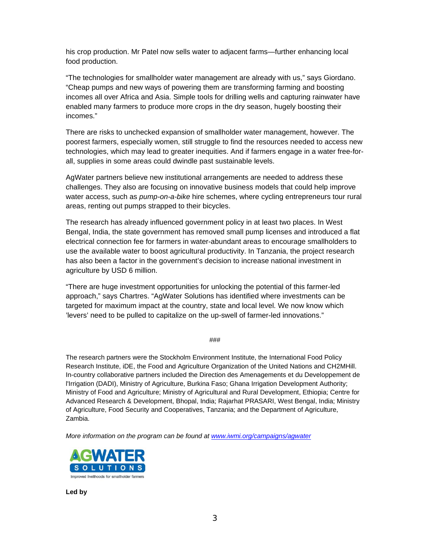his crop production. Mr Patel now sells water to adjacent farms—further enhancing local food production.

"The technologies for smallholder water management are already with us," says Giordano. "Cheap pumps and new ways of powering them are transforming farming and boosting incomes all over Africa and Asia. Simple tools for drilling wells and capturing rainwater have enabled many farmers to produce more crops in the dry season, hugely boosting their incomes."

There are risks to unchecked expansion of smallholder water management, however. The poorest farmers, especially women, still struggle to find the resources needed to access new technologies, which may lead to greater inequities. And if farmers engage in a water free-forall, supplies in some areas could dwindle past sustainable levels.

AgWater partners believe new institutional arrangements are needed to address these challenges. They also are focusing on innovative business models that could help improve water access, such as *pump-on-a-bike* hire schemes, where cycling entrepreneurs tour rural areas, renting out pumps strapped to their bicycles.

The research has already influenced government policy in at least two places. In West Bengal, India, the state government has removed small pump licenses and introduced a flat electrical connection fee for farmers in water-abundant areas to encourage smallholders to use the available water to boost agricultural productivity. In Tanzania, the project research has also been a factor in the government's decision to increase national investment in agriculture by USD 6 million.

"There are huge investment opportunities for unlocking the potential of this farmer-led approach," says Chartres. "AgWater Solutions has identified where investments can be targeted for maximum impact at the country, state and local level. We now know which 'levers' need to be pulled to capitalize on the up-swell of farmer-led innovations."

###

The research partners were the Stockholm Environment Institute, the International Food Policy Research Institute, iDE, the Food and Agriculture Organization of the United Nations and CH2MHill. In-country collaborative partners included the Direction des Amenagements et du Developpement de l'Irrigation (DADI), Ministry of Agriculture, Burkina Faso; Ghana Irrigation Development Authority; Ministry of Food and Agriculture; Ministry of Agricultural and Rural Development, Ethiopia; Centre for Advanced Research & Development, Bhopal, India; Rajarhat PRASARI, West Bengal, India; Ministry of Agriculture, Food Security and Cooperatives, Tanzania; and the Department of Agriculture, Zambia.

*More information on the program can be found at www.iwmi.org/campaigns/agwater* 



**Led by**